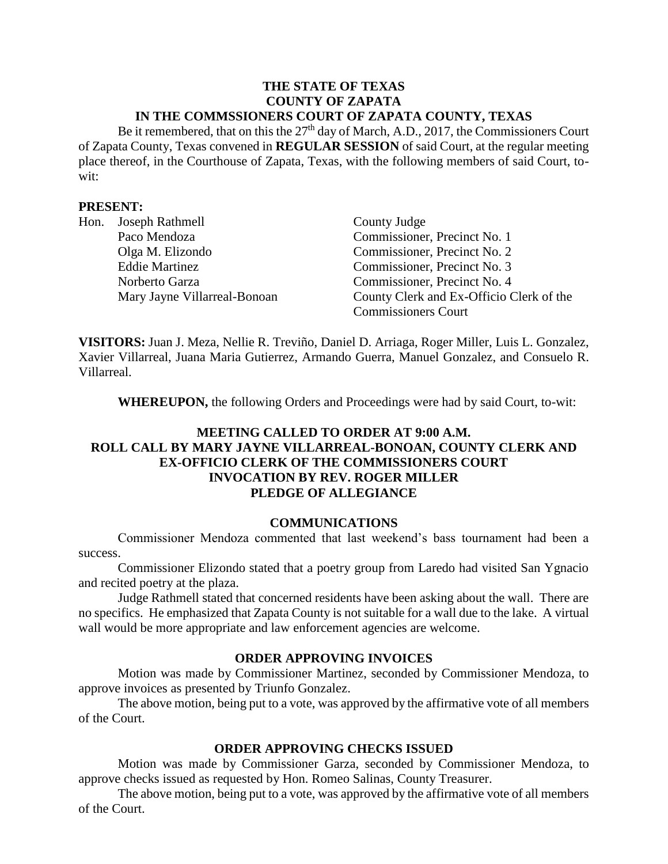#### **THE STATE OF TEXAS COUNTY OF ZAPATA IN THE COMMSSIONERS COURT OF ZAPATA COUNTY, TEXAS**

Be it remembered, that on this the  $27<sup>th</sup>$  day of March, A.D., 2017, the Commissioners Court of Zapata County, Texas convened in **REGULAR SESSION** of said Court, at the regular meeting place thereof, in the Courthouse of Zapata, Texas, with the following members of said Court, towit:

### **PRESENT:**

| Hon. | Joseph Rathmell              | County Judge                             |
|------|------------------------------|------------------------------------------|
|      | Paco Mendoza                 | Commissioner, Precinct No. 1             |
|      | Olga M. Elizondo             | Commissioner, Precinct No. 2             |
|      | <b>Eddie Martinez</b>        | Commissioner, Precinct No. 3             |
|      | Norberto Garza               | Commissioner, Precinct No. 4             |
|      | Mary Jayne Villarreal-Bonoan | County Clerk and Ex-Officio Clerk of the |
|      |                              | <b>Commissioners Court</b>               |

**VISITORS:** Juan J. Meza, Nellie R. Treviño, Daniel D. Arriaga, Roger Miller, Luis L. Gonzalez, Xavier Villarreal, Juana Maria Gutierrez, Armando Guerra, Manuel Gonzalez, and Consuelo R. Villarreal.

**WHEREUPON,** the following Orders and Proceedings were had by said Court, to-wit:

# **MEETING CALLED TO ORDER AT 9:00 A.M. ROLL CALL BY MARY JAYNE VILLARREAL-BONOAN, COUNTY CLERK AND EX-OFFICIO CLERK OF THE COMMISSIONERS COURT INVOCATION BY REV. ROGER MILLER PLEDGE OF ALLEGIANCE**

## **COMMUNICATIONS**

Commissioner Mendoza commented that last weekend's bass tournament had been a success.

Commissioner Elizondo stated that a poetry group from Laredo had visited San Ygnacio and recited poetry at the plaza.

Judge Rathmell stated that concerned residents have been asking about the wall. There are no specifics. He emphasized that Zapata County is not suitable for a wall due to the lake. A virtual wall would be more appropriate and law enforcement agencies are welcome.

### **ORDER APPROVING INVOICES**

Motion was made by Commissioner Martinez, seconded by Commissioner Mendoza, to approve invoices as presented by Triunfo Gonzalez.

The above motion, being put to a vote, was approved by the affirmative vote of all members of the Court.

# **ORDER APPROVING CHECKS ISSUED**

Motion was made by Commissioner Garza, seconded by Commissioner Mendoza, to approve checks issued as requested by Hon. Romeo Salinas, County Treasurer.

The above motion, being put to a vote, was approved by the affirmative vote of all members of the Court.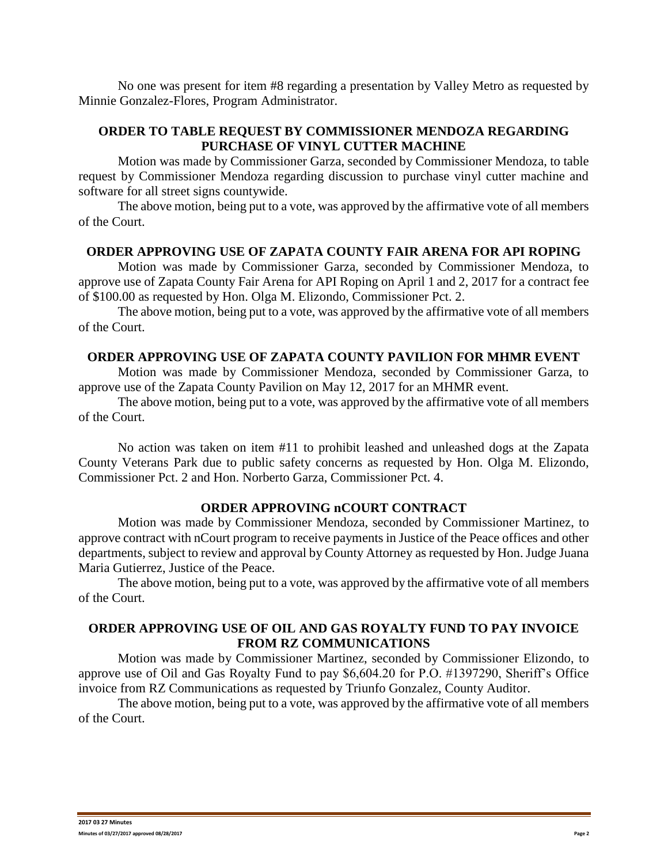No one was present for item #8 regarding a presentation by Valley Metro as requested by Minnie Gonzalez-Flores, Program Administrator.

# **ORDER TO TABLE REQUEST BY COMMISSIONER MENDOZA REGARDING PURCHASE OF VINYL CUTTER MACHINE**

Motion was made by Commissioner Garza, seconded by Commissioner Mendoza, to table request by Commissioner Mendoza regarding discussion to purchase vinyl cutter machine and software for all street signs countywide.

The above motion, being put to a vote, was approved by the affirmative vote of all members of the Court.

### **ORDER APPROVING USE OF ZAPATA COUNTY FAIR ARENA FOR API ROPING**

Motion was made by Commissioner Garza, seconded by Commissioner Mendoza, to approve use of Zapata County Fair Arena for API Roping on April 1 and 2, 2017 for a contract fee of \$100.00 as requested by Hon. Olga M. Elizondo, Commissioner Pct. 2.

The above motion, being put to a vote, was approved by the affirmative vote of all members of the Court.

## **ORDER APPROVING USE OF ZAPATA COUNTY PAVILION FOR MHMR EVENT**

Motion was made by Commissioner Mendoza, seconded by Commissioner Garza, to approve use of the Zapata County Pavilion on May 12, 2017 for an MHMR event.

The above motion, being put to a vote, was approved by the affirmative vote of all members of the Court.

No action was taken on item #11 to prohibit leashed and unleashed dogs at the Zapata County Veterans Park due to public safety concerns as requested by Hon. Olga M. Elizondo, Commissioner Pct. 2 and Hon. Norberto Garza, Commissioner Pct. 4.

### **ORDER APPROVING nCOURT CONTRACT**

Motion was made by Commissioner Mendoza, seconded by Commissioner Martinez, to approve contract with nCourt program to receive payments in Justice of the Peace offices and other departments, subject to review and approval by County Attorney as requested by Hon. Judge Juana Maria Gutierrez, Justice of the Peace.

The above motion, being put to a vote, was approved by the affirmative vote of all members of the Court.

# **ORDER APPROVING USE OF OIL AND GAS ROYALTY FUND TO PAY INVOICE FROM RZ COMMUNICATIONS**

Motion was made by Commissioner Martinez, seconded by Commissioner Elizondo, to approve use of Oil and Gas Royalty Fund to pay \$6,604.20 for P.O. #1397290, Sheriff's Office invoice from RZ Communications as requested by Triunfo Gonzalez, County Auditor.

The above motion, being put to a vote, was approved by the affirmative vote of all members of the Court.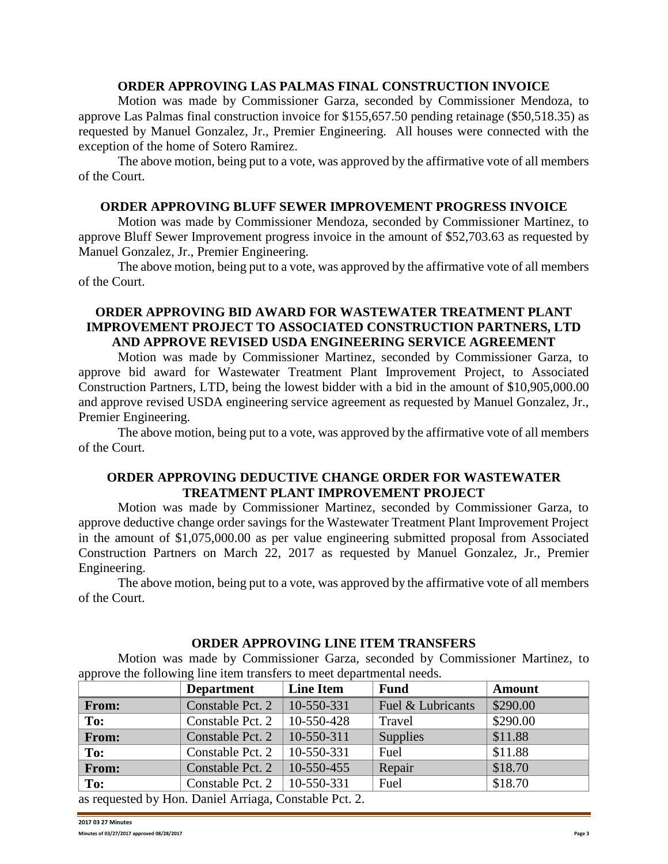# **ORDER APPROVING LAS PALMAS FINAL CONSTRUCTION INVOICE**

Motion was made by Commissioner Garza, seconded by Commissioner Mendoza, to approve Las Palmas final construction invoice for \$155,657.50 pending retainage (\$50,518.35) as requested by Manuel Gonzalez, Jr., Premier Engineering. All houses were connected with the exception of the home of Sotero Ramirez.

The above motion, being put to a vote, was approved by the affirmative vote of all members of the Court.

### **ORDER APPROVING BLUFF SEWER IMPROVEMENT PROGRESS INVOICE**

Motion was made by Commissioner Mendoza, seconded by Commissioner Martinez, to approve Bluff Sewer Improvement progress invoice in the amount of \$52,703.63 as requested by Manuel Gonzalez, Jr., Premier Engineering.

The above motion, being put to a vote, was approved by the affirmative vote of all members of the Court.

## **ORDER APPROVING BID AWARD FOR WASTEWATER TREATMENT PLANT IMPROVEMENT PROJECT TO ASSOCIATED CONSTRUCTION PARTNERS, LTD AND APPROVE REVISED USDA ENGINEERING SERVICE AGREEMENT**

Motion was made by Commissioner Martinez, seconded by Commissioner Garza, to approve bid award for Wastewater Treatment Plant Improvement Project, to Associated Construction Partners, LTD, being the lowest bidder with a bid in the amount of \$10,905,000.00 and approve revised USDA engineering service agreement as requested by Manuel Gonzalez, Jr., Premier Engineering.

The above motion, being put to a vote, was approved by the affirmative vote of all members of the Court.

## **ORDER APPROVING DEDUCTIVE CHANGE ORDER FOR WASTEWATER TREATMENT PLANT IMPROVEMENT PROJECT**

Motion was made by Commissioner Martinez, seconded by Commissioner Garza, to approve deductive change order savings for the Wastewater Treatment Plant Improvement Project in the amount of \$1,075,000.00 as per value engineering submitted proposal from Associated Construction Partners on March 22, 2017 as requested by Manuel Gonzalez, Jr., Premier Engineering.

The above motion, being put to a vote, was approved by the affirmative vote of all members of the Court.

# **ORDER APPROVING LINE ITEM TRANSFERS**

Motion was made by Commissioner Garza, seconded by Commissioner Martinez, to approve the following line item transfers to meet departmental needs.

|                                                        | <b>Department</b> | <b>Line Item</b> | <b>Fund</b>       | <b>Amount</b> |  |  |  |  |
|--------------------------------------------------------|-------------------|------------------|-------------------|---------------|--|--|--|--|
| From:                                                  | Constable Pct. 2  | 10-550-331       | Fuel & Lubricants | \$290.00      |  |  |  |  |
| To:                                                    | Constable Pct. 2  | 10-550-428       | Travel            | \$290.00      |  |  |  |  |
| From:                                                  | Constable Pct. 2  | 10-550-311       | Supplies          | \$11.88       |  |  |  |  |
| To:                                                    | Constable Pct. 2  | 10-550-331       | Fuel              | \$11.88       |  |  |  |  |
| From:                                                  | Constable Pct. 2  | 10-550-455       | Repair            | \$18.70       |  |  |  |  |
| To:                                                    | Constable Pct. 2  | 10-550-331       | Fuel              | \$18.70       |  |  |  |  |
| as requested by Hon. Daniel Arriaga, Constable Pct. 2. |                   |                  |                   |               |  |  |  |  |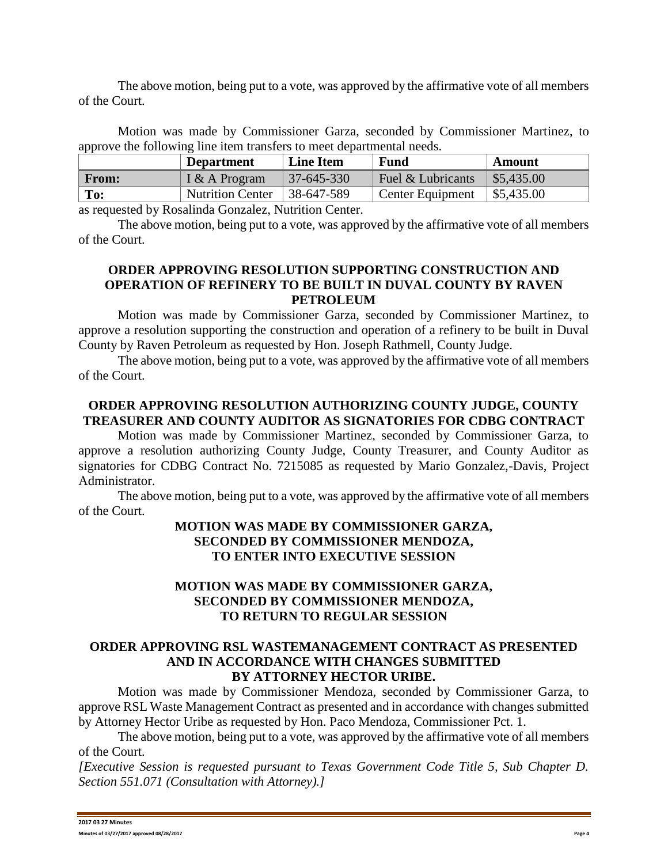The above motion, being put to a vote, was approved by the affirmative vote of all members of the Court.

Motion was made by Commissioner Garza, seconded by Commissioner Martinez, to approve the following line item transfers to meet departmental needs.

|              | <b>Department</b>       | <b>Line Item</b> | Fund                    | Amount                |
|--------------|-------------------------|------------------|-------------------------|-----------------------|
| <b>From:</b> | I & A Program           | $37 - 645 - 330$ | Fuel & Lubricants       | $\frac{$5,435.00}{ }$ |
| $\vert$ To:  | <b>Nutrition Center</b> | 38-647-589       | <b>Center Equipment</b> | $\frac{1}{5,435.00}$  |

as requested by Rosalinda Gonzalez, Nutrition Center.

The above motion, being put to a vote, was approved by the affirmative vote of all members of the Court.

## **ORDER APPROVING RESOLUTION SUPPORTING CONSTRUCTION AND OPERATION OF REFINERY TO BE BUILT IN DUVAL COUNTY BY RAVEN PETROLEUM**

Motion was made by Commissioner Garza, seconded by Commissioner Martinez, to approve a resolution supporting the construction and operation of a refinery to be built in Duval County by Raven Petroleum as requested by Hon. Joseph Rathmell, County Judge.

The above motion, being put to a vote, was approved by the affirmative vote of all members of the Court.

# **ORDER APPROVING RESOLUTION AUTHORIZING COUNTY JUDGE, COUNTY TREASURER AND COUNTY AUDITOR AS SIGNATORIES FOR CDBG CONTRACT**

Motion was made by Commissioner Martinez, seconded by Commissioner Garza, to approve a resolution authorizing County Judge, County Treasurer, and County Auditor as signatories for CDBG Contract No. 7215085 as requested by Mario Gonzalez,-Davis, Project Administrator.

The above motion, being put to a vote, was approved by the affirmative vote of all members of the Court.

# **MOTION WAS MADE BY COMMISSIONER GARZA, SECONDED BY COMMISSIONER MENDOZA, TO ENTER INTO EXECUTIVE SESSION**

## **MOTION WAS MADE BY COMMISSIONER GARZA, SECONDED BY COMMISSIONER MENDOZA, TO RETURN TO REGULAR SESSION**

## **ORDER APPROVING RSL WASTEMANAGEMENT CONTRACT AS PRESENTED AND IN ACCORDANCE WITH CHANGES SUBMITTED BY ATTORNEY HECTOR URIBE.**

Motion was made by Commissioner Mendoza, seconded by Commissioner Garza, to approve RSL Waste Management Contract as presented and in accordance with changes submitted by Attorney Hector Uribe as requested by Hon. Paco Mendoza, Commissioner Pct. 1.

The above motion, being put to a vote, was approved by the affirmative vote of all members of the Court.

*[Executive Session is requested pursuant to Texas Government Code Title 5, Sub Chapter D. Section 551.071 (Consultation with Attorney).]*